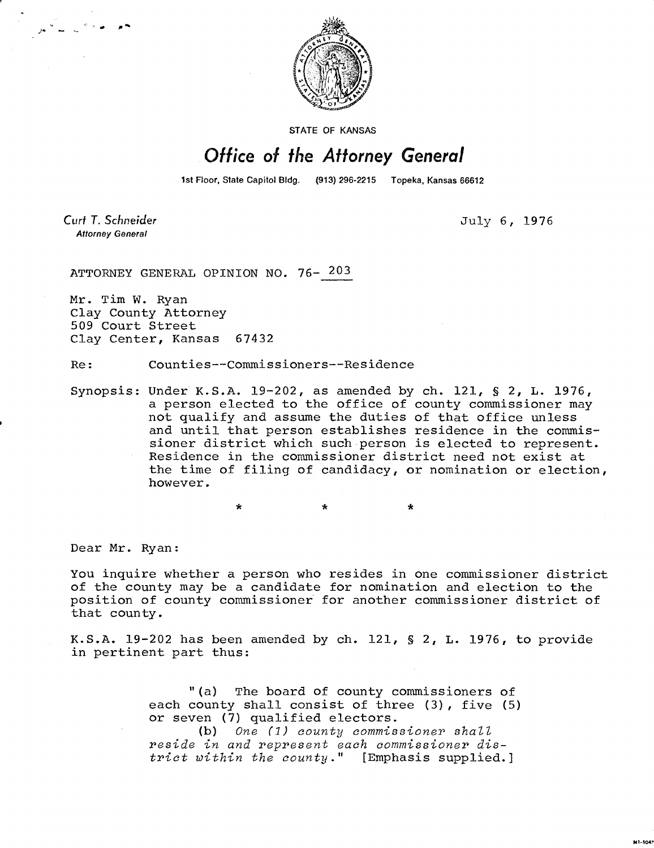

**STATE OF KANSAS** 

## Office of the Attorney General

1st Floor, State Capitol Bldg. (913) 296-2215 Topeka, Kansas 66612

Curt T. Schneider **Attorney General** 

July 6, 1976

**M1-1043** 

ATTORNEY GENERAL OPINION NO. 76- 203

Mr. Tim W. Ryan Clay County Attorney 509 Court Street Clay Center, Kansas 67432

Re: Counties--Commissioners--Residence

Synopsis: Under K.S.A. 19-202, as amended by ch. 121, § 2, L. 1976, a person elected to the office of county commissioner may not qualify and assume the duties of that office unless and until that person establishes residence in the commissioner district which such person is elected to represent. Residence in the commissioner district need not exist at the time of filing of candidacy, or nomination or election, however.

\* \*

Dear Mr. Ryan:

You inquire whether a person who resides in one commissioner district of the county may be a candidate for nomination and election to the position of county commissioner for another commissioner district of that county.

K.S.A. 19-202 has been amended by ch. 121, § 2, L. 1976, to provide in pertinent part thus:

> "(a) The board of county commissioners of each county shall consist of three (3), five (5) or seven (7) qualified electors.

(b) One (1) county commissioner shall reside in and represent each commissioner district within the county." [Emphasis supplied.]